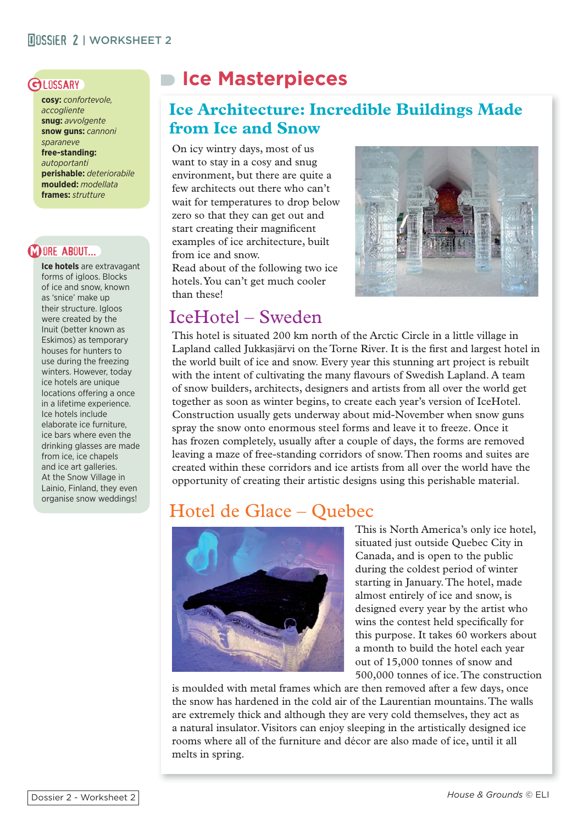**cosy:** *confortevole, accogliente* **snug:** *avvolgente* **snow guns:** *cannoni sparaneve* **free-standing:**  *autoportanti* **perishable:** *deteriorabile* **moulded:** *modellata* **frames:** *strutture*

## **DORE ABOUT...**

**Ice hotels** are extravagant forms of igloos. Blocks of ice and snow, known as 'snice' make up their structure. Igloos were created by the Inuit (better known as Eskimos) as temporary houses for hunters to use during the freezing winters. However, today ice hotels are unique locations offering a once in a lifetime experience. Ice hotels include elaborate ice furniture, ice bars where even the drinking glasses are made from ice, ice chapels and ice art galleries. At the Snow Village in Lainio, Finland, they even organise snow weddings!

# GLOSSARY **ICe Masterpieces**

# **Ice Architecture: Incredible Buildings Made from Ice and Snow**

On icy wintry days, most of us want to stay in a cosy and snug environment, but there are quite a few architects out there who can't wait for temperatures to drop below zero so that they can get out and start creating their magnificent examples of ice architecture, built from ice and snow.

Read about of the following two ice hotels. You can't get much cooler than these!



# IceHotel – Sweden

This hotel is situated 200 km north of the Arctic Circle in a little village in Lapland called Jukkasjärvi on the Torne River. It is the first and largest hotel in the world built of ice and snow. Every year this stunning art project is rebuilt with the intent of cultivating the many flavours of Swedish Lapland. A team of snow builders, architects, designers and artists from all over the world get together as soon as winter begins, to create each year's version of IceHotel. Construction usually gets underway about mid-November when snow guns spray the snow onto enormous steel forms and leave it to freeze. Once it has frozen completely, usually after a couple of days, the forms are removed leaving a maze of free-standing corridors of snow. Then rooms and suites are created within these corridors and ice artists from all over the world have the opportunity of creating their artistic designs using this perishable material.

# Hotel de Glace – Quebec



This is North America's only ice hotel, situated just outside Quebec City in Canada, and is open to the public during the coldest period of winter starting in January. The hotel, made almost entirely of ice and snow, is designed every year by the artist who wins the contest held specifically for this purpose. It takes 60 workers about a month to build the hotel each year out of 15,000 tonnes of snow and 500,000 tonnes of ice. The construction

is moulded with metal frames which are then removed after a few days, once the snow has hardened in the cold air of the Laurentian mountains. The walls are extremely thick and although they are very cold themselves, they act as a natural insulator. Visitors can enjoy sleeping in the artistically designed ice rooms where all of the furniture and décor are also made of ice, until it all melts in spring.